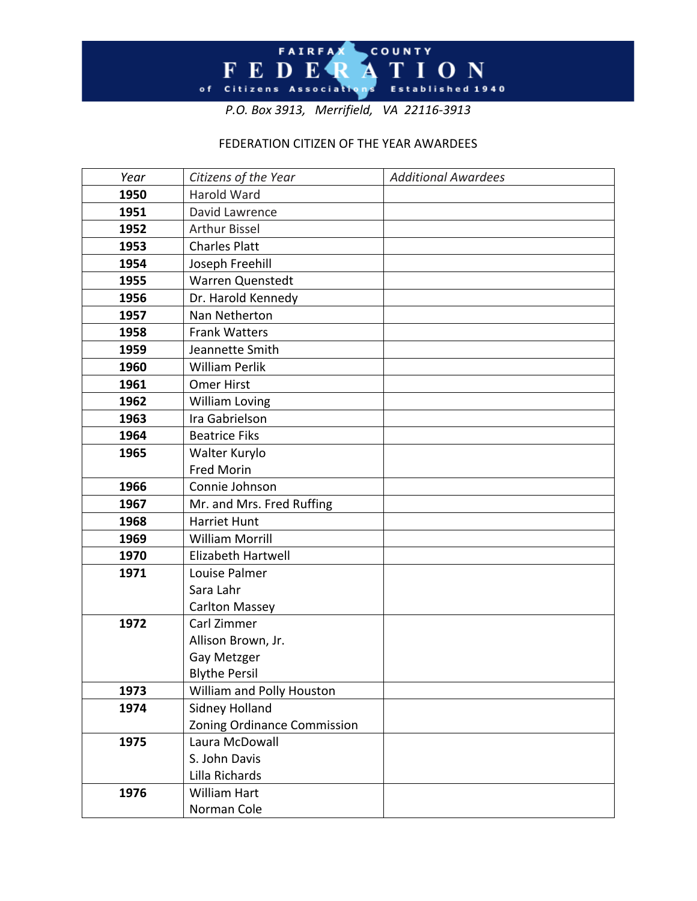

*P.O. Box 3913, Merrifield, VA 22116-3913*

## FEDERATION CITIZEN OF THE YEAR AWARDEES

| Year | Citizens of the Year        | <b>Additional Awardees</b> |
|------|-----------------------------|----------------------------|
| 1950 | <b>Harold Ward</b>          |                            |
| 1951 | David Lawrence              |                            |
| 1952 | <b>Arthur Bissel</b>        |                            |
| 1953 | <b>Charles Platt</b>        |                            |
| 1954 | Joseph Freehill             |                            |
| 1955 | Warren Quenstedt            |                            |
| 1956 | Dr. Harold Kennedy          |                            |
| 1957 | Nan Netherton               |                            |
| 1958 | <b>Frank Watters</b>        |                            |
| 1959 | Jeannette Smith             |                            |
| 1960 | <b>William Perlik</b>       |                            |
| 1961 | <b>Omer Hirst</b>           |                            |
| 1962 | <b>William Loving</b>       |                            |
| 1963 | Ira Gabrielson              |                            |
| 1964 | <b>Beatrice Fiks</b>        |                            |
| 1965 | Walter Kurylo               |                            |
|      | <b>Fred Morin</b>           |                            |
| 1966 | Connie Johnson              |                            |
| 1967 | Mr. and Mrs. Fred Ruffing   |                            |
| 1968 | <b>Harriet Hunt</b>         |                            |
| 1969 | <b>William Morrill</b>      |                            |
| 1970 | Elizabeth Hartwell          |                            |
| 1971 | Louise Palmer               |                            |
|      | Sara Lahr                   |                            |
|      | <b>Carlton Massey</b>       |                            |
| 1972 | Carl Zimmer                 |                            |
|      | Allison Brown, Jr.          |                            |
|      | Gay Metzger                 |                            |
|      | <b>Blythe Persil</b>        |                            |
| 1973 | William and Polly Houston   |                            |
| 1974 | Sidney Holland              |                            |
|      | Zoning Ordinance Commission |                            |
| 1975 | Laura McDowall              |                            |
|      | S. John Davis               |                            |
|      | Lilla Richards              |                            |
| 1976 | William Hart                |                            |
|      | Norman Cole                 |                            |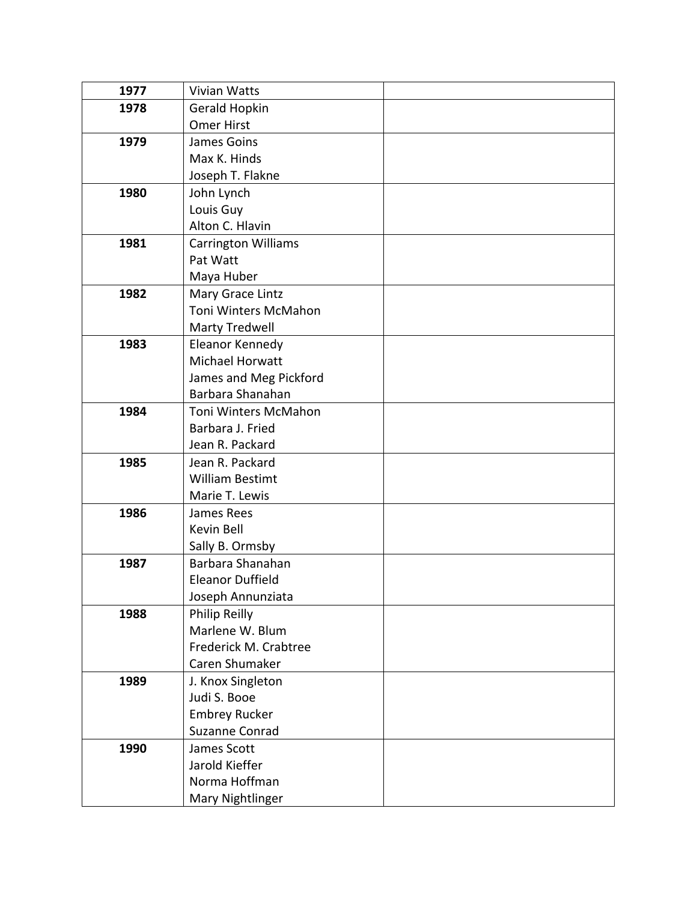| 1977 | Vivian Watts               |  |
|------|----------------------------|--|
| 1978 | Gerald Hopkin              |  |
|      | <b>Omer Hirst</b>          |  |
| 1979 | James Goins                |  |
|      | Max K. Hinds               |  |
|      | Joseph T. Flakne           |  |
| 1980 | John Lynch                 |  |
|      | Louis Guy                  |  |
|      | Alton C. Hlavin            |  |
| 1981 | <b>Carrington Williams</b> |  |
|      | Pat Watt                   |  |
|      | Maya Huber                 |  |
| 1982 | Mary Grace Lintz           |  |
|      | Toni Winters McMahon       |  |
|      | <b>Marty Tredwell</b>      |  |
| 1983 | Eleanor Kennedy            |  |
|      | Michael Horwatt            |  |
|      | James and Meg Pickford     |  |
|      | Barbara Shanahan           |  |
| 1984 | Toni Winters McMahon       |  |
|      | Barbara J. Fried           |  |
|      | Jean R. Packard            |  |
| 1985 | Jean R. Packard            |  |
|      | <b>William Bestimt</b>     |  |
|      | Marie T. Lewis             |  |
| 1986 | James Rees                 |  |
|      | Kevin Bell                 |  |
|      | Sally B. Ormsby            |  |
| 1987 | Barbara Shanahan           |  |
|      | <b>Eleanor Duffield</b>    |  |
|      | Joseph Annunziata          |  |
| 1988 | Philip Reilly              |  |
|      | Marlene W. Blum            |  |
|      | Frederick M. Crabtree      |  |
|      | Caren Shumaker             |  |
| 1989 | J. Knox Singleton          |  |
|      | Judi S. Booe               |  |
|      | <b>Embrey Rucker</b>       |  |
|      | Suzanne Conrad             |  |
| 1990 | James Scott                |  |
|      | Jarold Kieffer             |  |
|      | Norma Hoffman              |  |
|      | Mary Nightlinger           |  |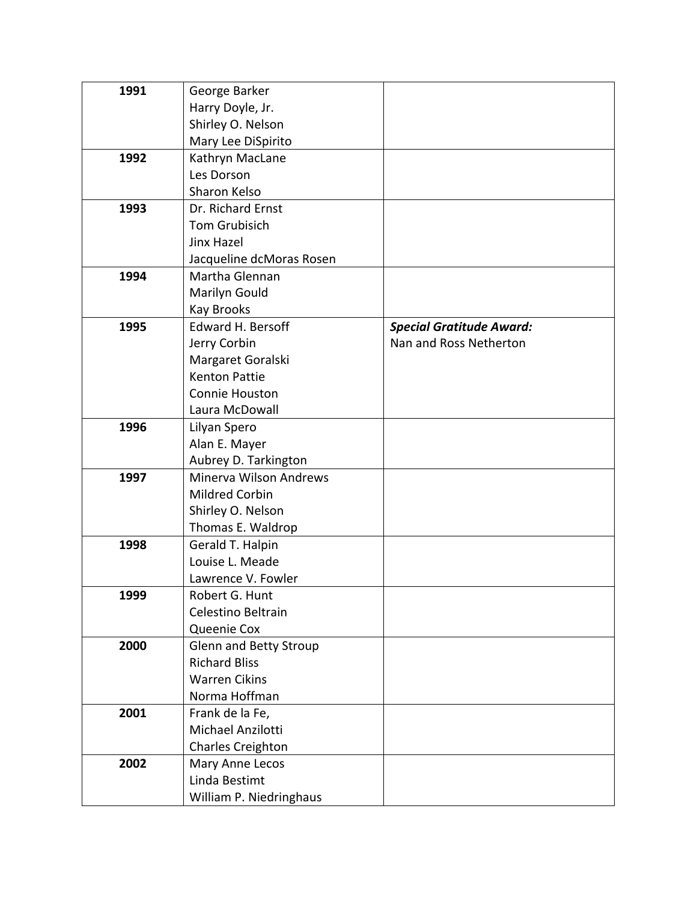| 1991 | George Barker                 |                                 |
|------|-------------------------------|---------------------------------|
|      | Harry Doyle, Jr.              |                                 |
|      | Shirley O. Nelson             |                                 |
|      | Mary Lee DiSpirito            |                                 |
| 1992 | Kathryn MacLane               |                                 |
|      | Les Dorson                    |                                 |
|      | Sharon Kelso                  |                                 |
| 1993 | Dr. Richard Ernst             |                                 |
|      | Tom Grubisich                 |                                 |
|      | Jinx Hazel                    |                                 |
|      | Jacqueline dcMoras Rosen      |                                 |
| 1994 | Martha Glennan                |                                 |
|      | Marilyn Gould                 |                                 |
|      | <b>Kay Brooks</b>             |                                 |
| 1995 | <b>Edward H. Bersoff</b>      | <b>Special Gratitude Award:</b> |
|      | Jerry Corbin                  | Nan and Ross Netherton          |
|      | Margaret Goralski             |                                 |
|      | <b>Kenton Pattie</b>          |                                 |
|      | Connie Houston                |                                 |
|      | Laura McDowall                |                                 |
| 1996 | Lilyan Spero                  |                                 |
|      | Alan E. Mayer                 |                                 |
|      | Aubrey D. Tarkington          |                                 |
| 1997 | Minerva Wilson Andrews        |                                 |
|      | Mildred Corbin                |                                 |
|      | Shirley O. Nelson             |                                 |
|      | Thomas E. Waldrop             |                                 |
| 1998 | Gerald T. Halpin              |                                 |
|      | Louise L. Meade               |                                 |
|      | Lawrence V. Fowler            |                                 |
| 1999 | Robert G. Hunt                |                                 |
|      | Celestino Beltrain            |                                 |
|      | Queenie Cox                   |                                 |
| 2000 | <b>Glenn and Betty Stroup</b> |                                 |
|      | <b>Richard Bliss</b>          |                                 |
|      | <b>Warren Cikins</b>          |                                 |
|      | Norma Hoffman                 |                                 |
| 2001 | Frank de la Fe,               |                                 |
|      | Michael Anzilotti             |                                 |
|      | Charles Creighton             |                                 |
| 2002 | Mary Anne Lecos               |                                 |
|      | Linda Bestimt                 |                                 |
|      | William P. Niedringhaus       |                                 |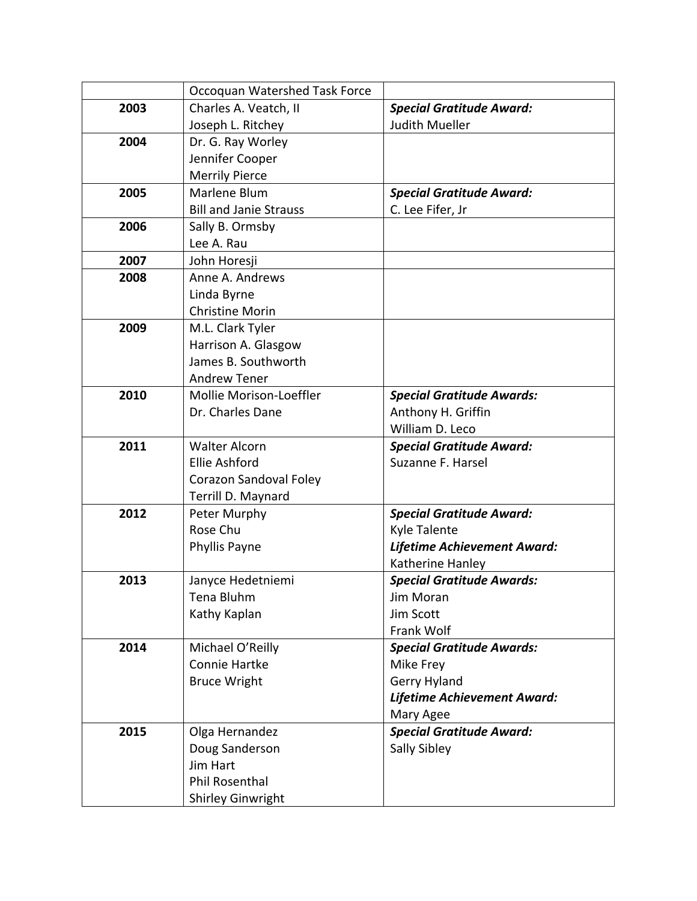|      | Occoquan Watershed Task Force |                                  |
|------|-------------------------------|----------------------------------|
| 2003 | Charles A. Veatch, II         | <b>Special Gratitude Award:</b>  |
|      | Joseph L. Ritchey             | <b>Judith Mueller</b>            |
| 2004 | Dr. G. Ray Worley             |                                  |
|      | Jennifer Cooper               |                                  |
|      | <b>Merrily Pierce</b>         |                                  |
| 2005 | Marlene Blum                  | <b>Special Gratitude Award:</b>  |
|      | <b>Bill and Janie Strauss</b> | C. Lee Fifer, Jr                 |
| 2006 | Sally B. Ormsby               |                                  |
|      | Lee A. Rau                    |                                  |
| 2007 | John Horesji                  |                                  |
| 2008 | Anne A. Andrews               |                                  |
|      | Linda Byrne                   |                                  |
|      | <b>Christine Morin</b>        |                                  |
| 2009 | M.L. Clark Tyler              |                                  |
|      | Harrison A. Glasgow           |                                  |
|      | James B. Southworth           |                                  |
|      | <b>Andrew Tener</b>           |                                  |
| 2010 | Mollie Morison-Loeffler       | <b>Special Gratitude Awards:</b> |
|      | Dr. Charles Dane              | Anthony H. Griffin               |
|      |                               | William D. Leco                  |
| 2011 | <b>Walter Alcorn</b>          | <b>Special Gratitude Award:</b>  |
|      | <b>Ellie Ashford</b>          | Suzanne F. Harsel                |
|      | Corazon Sandoval Foley        |                                  |
|      | Terrill D. Maynard            |                                  |
| 2012 | Peter Murphy                  | <b>Special Gratitude Award:</b>  |
|      | Rose Chu                      | <b>Kyle Talente</b>              |
|      | Phyllis Payne                 | Lifetime Achievement Award:      |
|      |                               | Katherine Hanley                 |
| 2013 | Janyce Hedetniemi             | <b>Special Gratitude Awards:</b> |
|      | Tena Bluhm                    | Jim Moran                        |
|      | Kathy Kaplan                  | Jim Scott                        |
|      |                               | Frank Wolf                       |
| 2014 | Michael O'Reilly              | <b>Special Gratitude Awards:</b> |
|      | Connie Hartke                 | Mike Frey                        |
|      | <b>Bruce Wright</b>           | Gerry Hyland                     |
|      |                               | Lifetime Achievement Award:      |
|      |                               | Mary Agee                        |
| 2015 | Olga Hernandez                | <b>Special Gratitude Award:</b>  |
|      | Doug Sanderson                | Sally Sibley                     |
|      | Jim Hart                      |                                  |
|      | <b>Phil Rosenthal</b>         |                                  |
|      | Shirley Ginwright             |                                  |